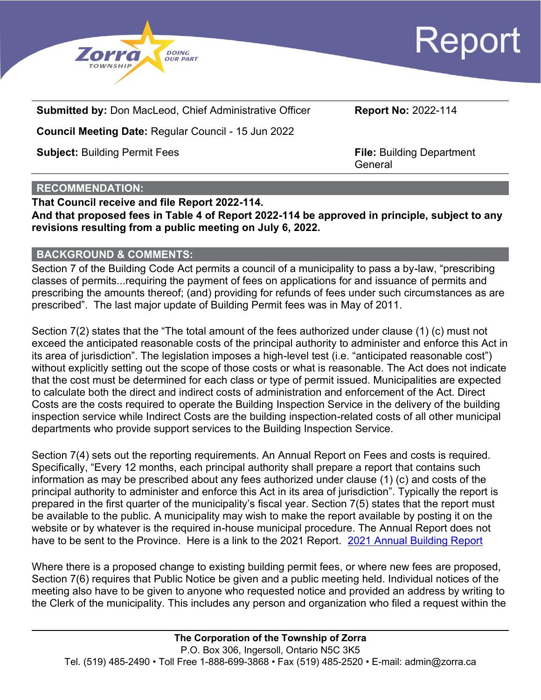



**Submitted by:** Don MacLeod, Chief Administrative Officer **Report No:** 2022-114

**Council Meeting Date:** Regular Council - 15 Jun 2022

**Subject:** Building Permit Fees **File: Building Department** 

**General** 

### **RECOMMENDATION:**

**That Council receive and file Report 2022-114. And that proposed fees in Table 4 of Report 2022-114 be approved in principle, subject to any revisions resulting from a public meeting on July 6, 2022.**

### **BACKGROUND & COMMENTS:**

Section 7 of the Building Code Act permits a council of a municipality to pass a by-law, "prescribing classes of permits...requiring the payment of fees on applications for and issuance of permits and prescribing the amounts thereof; (and) providing for refunds of fees under such circumstances as are prescribed". The last major update of Building Permit fees was in May of 2011.

Section 7(2) states that the "The total amount of the fees authorized under clause (1) (c) must not exceed the anticipated reasonable costs of the principal authority to administer and enforce this Act in its area of jurisdiction". The legislation imposes a high-level test (i.e. "anticipated reasonable cost") without explicitly setting out the scope of those costs or what is reasonable. The Act does not indicate that the cost must be determined for each class or type of permit issued. Municipalities are expected to calculate both the direct and indirect costs of administration and enforcement of the Act. Direct Costs are the costs required to operate the Building Inspection Service in the delivery of the building inspection service while Indirect Costs are the building inspection-related costs of all other municipal departments who provide support services to the Building Inspection Service.

Section 7(4) sets out the reporting requirements. An Annual Report on Fees and costs is required. Specifically, "Every 12 months, each principal authority shall prepare a report that contains such information as may be prescribed about any fees authorized under clause (1) (c) and costs of the principal authority to administer and enforce this Act in its area of jurisdiction". Typically the report is prepared in the first quarter of the municipality's fiscal year. Section 7(5) states that the report must be available to the public. A municipality may wish to make the report available by posting it on the website or by whatever is the required in-house municipal procedure. The Annual Report does not have to be sent to the Province. Here is a link to the 2021 Report. [2021 Annual Building Report](https://zorra.civicweb.net/document/22008/2021%20Annual%20Building%20Department%20Report.pdf?handle=382278E6AFB04579AB7E2A0E6F02DF4E)

Where there is a proposed change to existing building permit fees, or where new fees are proposed, Section 7(6) requires that Public Notice be given and a public meeting held. Individual notices of the meeting also have to be given to anyone who requested notice and provided an address by writing to the Clerk of the municipality. This includes any person and organization who filed a request within the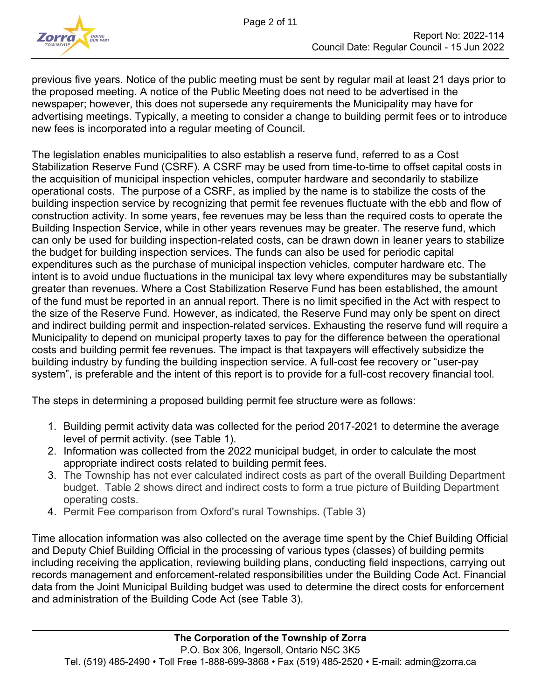

previous five years. Notice of the public meeting must be sent by regular mail at least 21 days prior to the proposed meeting. A notice of the Public Meeting does not need to be advertised in the newspaper; however, this does not supersede any requirements the Municipality may have for advertising meetings. Typically, a meeting to consider a change to building permit fees or to introduce new fees is incorporated into a regular meeting of Council.

The legislation enables municipalities to also establish a reserve fund, referred to as a Cost Stabilization Reserve Fund (CSRF). A CSRF may be used from time-to-time to offset capital costs in the acquisition of municipal inspection vehicles, computer hardware and secondarily to stabilize operational costs. The purpose of a CSRF, as implied by the name is to stabilize the costs of the building inspection service by recognizing that permit fee revenues fluctuate with the ebb and flow of construction activity. In some years, fee revenues may be less than the required costs to operate the Building Inspection Service, while in other years revenues may be greater. The reserve fund, which can only be used for building inspection-related costs, can be drawn down in leaner years to stabilize the budget for building inspection services. The funds can also be used for periodic capital expenditures such as the purchase of municipal inspection vehicles, computer hardware etc. The intent is to avoid undue fluctuations in the municipal tax levy where expenditures may be substantially greater than revenues. Where a Cost Stabilization Reserve Fund has been established, the amount of the fund must be reported in an annual report. There is no limit specified in the Act with respect to the size of the Reserve Fund. However, as indicated, the Reserve Fund may only be spent on direct and indirect building permit and inspection-related services. Exhausting the reserve fund will require a Municipality to depend on municipal property taxes to pay for the difference between the operational costs and building permit fee revenues. The impact is that taxpayers will effectively subsidize the building industry by funding the building inspection service. A full-cost fee recovery or "user-pay system", is preferable and the intent of this report is to provide for a full-cost recovery financial tool.

The steps in determining a proposed building permit fee structure were as follows:

- 1. Building permit activity data was collected for the period 2017-2021 to determine the average level of permit activity. (see Table 1).
- 2. Information was collected from the 2022 municipal budget, in order to calculate the most appropriate indirect costs related to building permit fees.
- 3. The Township has not ever calculated indirect costs as part of the overall Building Department budget. Table 2 shows direct and indirect costs to form a true picture of Building Department operating costs.
- 4. Permit Fee comparison from Oxford's rural Townships. (Table 3)

Time allocation information was also collected on the average time spent by the Chief Building Official and Deputy Chief Building Official in the processing of various types (classes) of building permits including receiving the application, reviewing building plans, conducting field inspections, carrying out records management and enforcement-related responsibilities under the Building Code Act. Financial data from the Joint Municipal Building budget was used to determine the direct costs for enforcement and administration of the Building Code Act (see Table 3).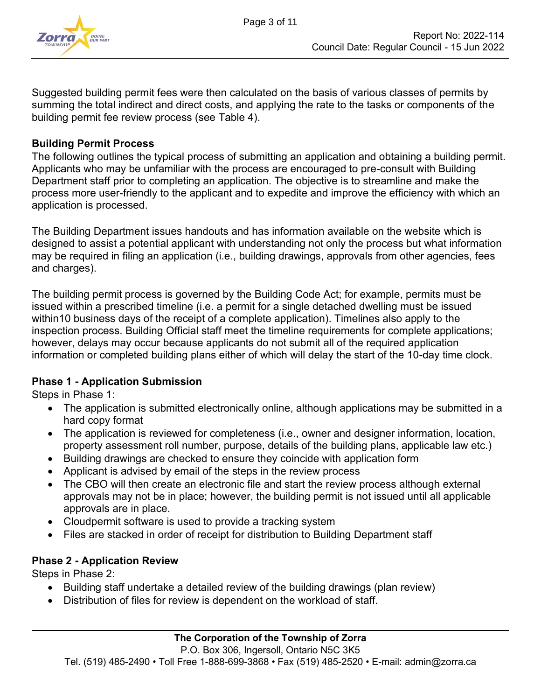

Suggested building permit fees were then calculated on the basis of various classes of permits by summing the total indirect and direct costs, and applying the rate to the tasks or components of the building permit fee review process (see Table 4).

### **Building Permit Process**

The following outlines the typical process of submitting an application and obtaining a building permit. Applicants who may be unfamiliar with the process are encouraged to pre-consult with Building Department staff prior to completing an application. The objective is to streamline and make the process more user-friendly to the applicant and to expedite and improve the efficiency with which an application is processed.

The Building Department issues handouts and has information available on the website which is designed to assist a potential applicant with understanding not only the process but what information may be required in filing an application (i.e., building drawings, approvals from other agencies, fees and charges).

The building permit process is governed by the Building Code Act; for example, permits must be issued within a prescribed timeline (i.e. a permit for a single detached dwelling must be issued within10 business days of the receipt of a complete application). Timelines also apply to the inspection process. Building Official staff meet the timeline requirements for complete applications; however, delays may occur because applicants do not submit all of the required application information or completed building plans either of which will delay the start of the 10-day time clock.

### **Phase 1 - Application Submission**

Steps in Phase 1:

- The application is submitted electronically online, although applications may be submitted in a hard copy format
- The application is reviewed for completeness (i.e., owner and designer information, location, property assessment roll number, purpose, details of the building plans, applicable law etc.)
- Building drawings are checked to ensure they coincide with application form
- Applicant is advised by email of the steps in the review process
- The CBO will then create an electronic file and start the review process although external approvals may not be in place; however, the building permit is not issued until all applicable approvals are in place.
- Cloudpermit software is used to provide a tracking system
- Files are stacked in order of receipt for distribution to Building Department staff

### **Phase 2 - Application Review**

Steps in Phase 2:

- Building staff undertake a detailed review of the building drawings (plan review)
- Distribution of files for review is dependent on the workload of staff.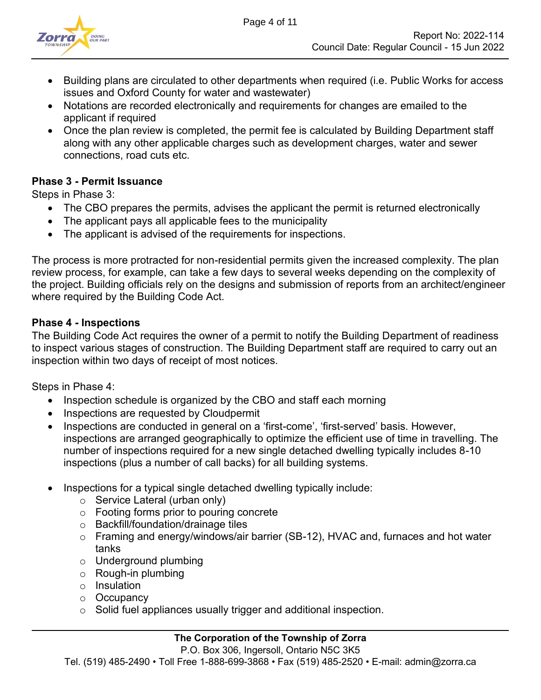

- Building plans are circulated to other departments when required (i.e. Public Works for access issues and Oxford County for water and wastewater)
- Notations are recorded electronically and requirements for changes are emailed to the applicant if required
- Once the plan review is completed, the permit fee is calculated by Building Department staff along with any other applicable charges such as development charges, water and sewer connections, road cuts etc.

### **Phase 3 - Permit Issuance**

Steps in Phase 3:

- The CBO prepares the permits, advises the applicant the permit is returned electronically
- The applicant pays all applicable fees to the municipality
- The applicant is advised of the requirements for inspections.

The process is more protracted for non-residential permits given the increased complexity. The plan review process, for example, can take a few days to several weeks depending on the complexity of the project. Building officials rely on the designs and submission of reports from an architect/engineer where required by the Building Code Act.

### **Phase 4 - Inspections**

The Building Code Act requires the owner of a permit to notify the Building Department of readiness to inspect various stages of construction. The Building Department staff are required to carry out an inspection within two days of receipt of most notices.

Steps in Phase 4:

- Inspection schedule is organized by the CBO and staff each morning
- Inspections are requested by Cloudpermit
- Inspections are conducted in general on a 'first-come', 'first-served' basis. However, inspections are arranged geographically to optimize the efficient use of time in travelling. The number of inspections required for a new single detached dwelling typically includes 8-10 inspections (plus a number of call backs) for all building systems.
- Inspections for a typical single detached dwelling typically include:
	- o Service Lateral (urban only)
	- o Footing forms prior to pouring concrete
	- o Backfill/foundation/drainage tiles
	- o Framing and energy/windows/air barrier (SB-12), HVAC and, furnaces and hot water tanks
	- o Underground plumbing
	- o Rough-in plumbing
	- o Insulation
	- o Occupancy
	- o Solid fuel appliances usually trigger and additional inspection.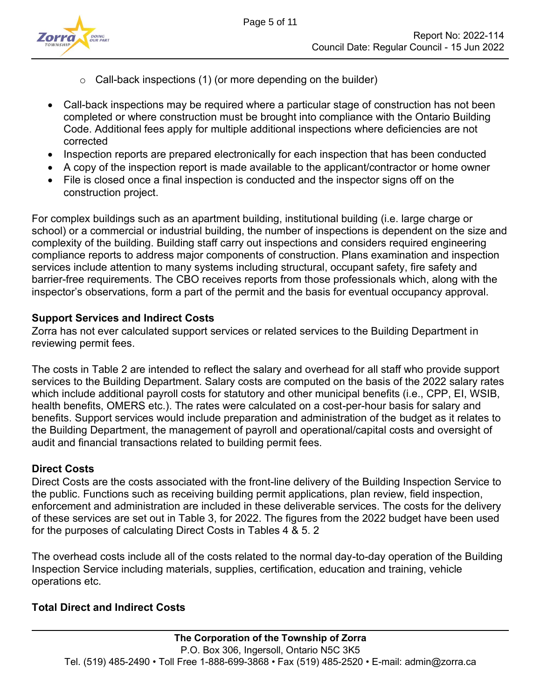

- $\circ$  Call-back inspections (1) (or more depending on the builder)
- Call-back inspections may be required where a particular stage of construction has not been completed or where construction must be brought into compliance with the Ontario Building Code. Additional fees apply for multiple additional inspections where deficiencies are not corrected
- Inspection reports are prepared electronically for each inspection that has been conducted
- A copy of the inspection report is made available to the applicant/contractor or home owner
- File is closed once a final inspection is conducted and the inspector signs off on the construction project.

For complex buildings such as an apartment building, institutional building (i.e. large charge or school) or a commercial or industrial building, the number of inspections is dependent on the size and complexity of the building. Building staff carry out inspections and considers required engineering compliance reports to address major components of construction. Plans examination and inspection services include attention to many systems including structural, occupant safety, fire safety and barrier-free requirements. The CBO receives reports from those professionals which, along with the inspector's observations, form a part of the permit and the basis for eventual occupancy approval.

### **Support Services and Indirect Costs**

Zorra has not ever calculated support services or related services to the Building Department in reviewing permit fees.

The costs in Table 2 are intended to reflect the salary and overhead for all staff who provide support services to the Building Department. Salary costs are computed on the basis of the 2022 salary rates which include additional payroll costs for statutory and other municipal benefits (i.e., CPP, EI, WSIB, health benefits, OMERS etc.). The rates were calculated on a cost-per-hour basis for salary and benefits. Support services would include preparation and administration of the budget as it relates to the Building Department, the management of payroll and operational/capital costs and oversight of audit and financial transactions related to building permit fees.

## **Direct Costs**

Direct Costs are the costs associated with the front-line delivery of the Building Inspection Service to the public. Functions such as receiving building permit applications, plan review, field inspection, enforcement and administration are included in these deliverable services. The costs for the delivery of these services are set out in Table 3, for 2022. The figures from the 2022 budget have been used for the purposes of calculating Direct Costs in Tables 4 & 5. 2

The overhead costs include all of the costs related to the normal day-to-day operation of the Building Inspection Service including materials, supplies, certification, education and training, vehicle operations etc.

## **Total Direct and Indirect Costs**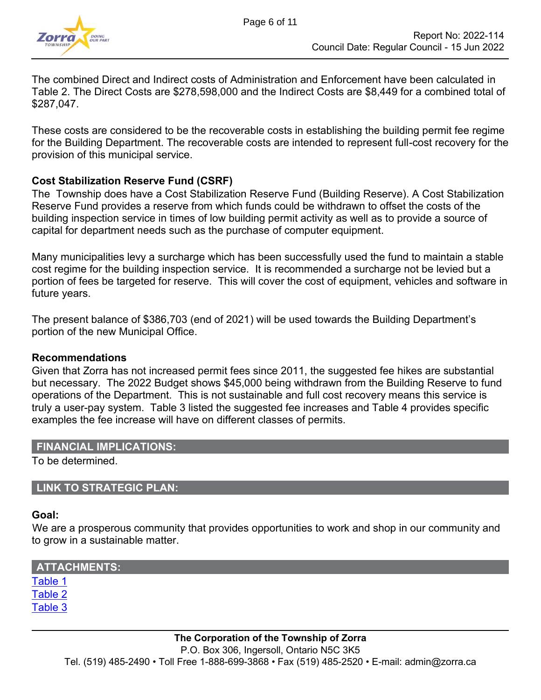

The combined Direct and Indirect costs of Administration and Enforcement have been calculated in Table 2. The Direct Costs are \$278,598,000 and the Indirect Costs are \$8,449 for a combined total of \$287,047.

These costs are considered to be the recoverable costs in establishing the building permit fee regime for the Building Department. The recoverable costs are intended to represent full-cost recovery for the provision of this municipal service.

### **Cost Stabilization Reserve Fund (CSRF)**

The Township does have a Cost Stabilization Reserve Fund (Building Reserve). A Cost Stabilization Reserve Fund provides a reserve from which funds could be withdrawn to offset the costs of the building inspection service in times of low building permit activity as well as to provide a source of capital for department needs such as the purchase of computer equipment.

Many municipalities levy a surcharge which has been successfully used the fund to maintain a stable cost regime for the building inspection service. It is recommended a surcharge not be levied but a portion of fees be targeted for reserve. This will cover the cost of equipment, vehicles and software in future years.

The present balance of \$386,703 (end of 2021) will be used towards the Building Department's portion of the new Municipal Office.

#### **Recommendations**

Given that Zorra has not increased permit fees since 2011, the suggested fee hikes are substantial but necessary. The 2022 Budget shows \$45,000 being withdrawn from the Building Reserve to fund operations of the Department. This is not sustainable and full cost recovery means this service is truly a user-pay system. Table 3 listed the suggested fee increases and Table 4 provides specific examples the fee increase will have on different classes of permits.

### **FINANCIAL IMPLICATIONS:**

To be determined.

### **LINK TO STRATEGIC PLAN:**

#### **Goal:**

We are a prosperous community that provides opportunities to work and shop in our community and to grow in a sustainable matter.

| <b>ATTACHMENTS:</b> |  |
|---------------------|--|
| Table 1             |  |
| Table 2             |  |
| Table 3             |  |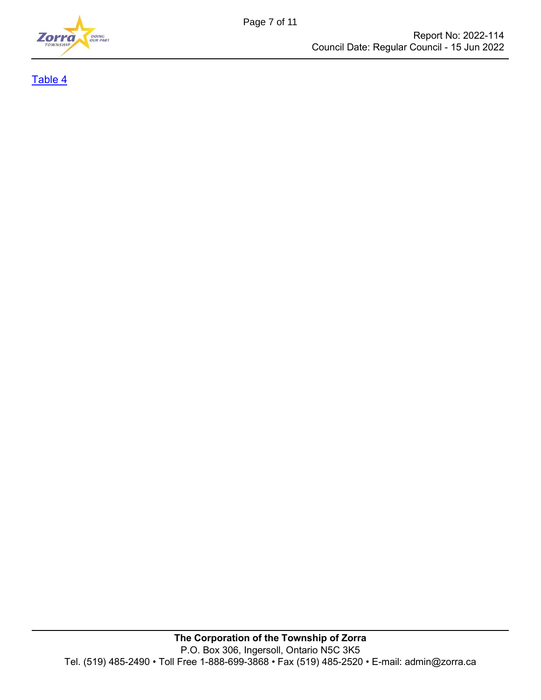

[Table 4](#page-10-0)

Page 7 of 11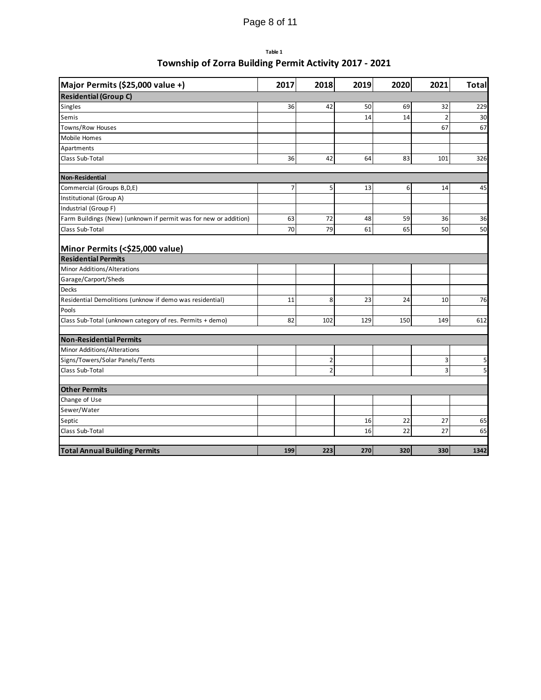# Page 8 of 11

#### **Table 1**

### **Township of Zorra Building Permit Activity 2017 - 2021**

<span id="page-7-0"></span>

| Major Permits (\$25,000 value +)                                 | 2017           | 2018           | 2019 | 2020 | 2021           | <b>Total</b> |
|------------------------------------------------------------------|----------------|----------------|------|------|----------------|--------------|
| <b>Residential (Group C)</b>                                     |                |                |      |      |                |              |
| Singles                                                          | 36             | 42             | 50   | 69   | 32             | 229          |
| Semis                                                            |                |                | 14   | 14   | $\overline{2}$ | 30           |
| Towns/Row Houses                                                 |                |                |      |      | 67             | 67           |
| Mobile Homes                                                     |                |                |      |      |                |              |
| Apartments                                                       |                |                |      |      |                |              |
| Class Sub-Total                                                  | 36             | 42             | 64   | 83   | 101            | 326          |
| <b>Non-Residential</b>                                           |                |                |      |      |                |              |
| Commercial (Groups B,D,E)                                        | $\overline{7}$ | 5              | 13   | 6    | 14             | 45           |
| Institutional (Group A)                                          |                |                |      |      |                |              |
| Industrial (Group F)                                             |                |                |      |      |                |              |
| Farm Buildings (New) (unknown if permit was for new or addition) | 63             | 72             | 48   | 59   | 36             | 36           |
| Class Sub-Total                                                  | 70             | 79             | 61   | 65   | 50             | 50           |
| Minor Permits (<\$25,000 value)                                  |                |                |      |      |                |              |
| <b>Residential Permits</b>                                       |                |                |      |      |                |              |
| Minor Additions/Alterations                                      |                |                |      |      |                |              |
| Garage/Carport/Sheds                                             |                |                |      |      |                |              |
| <b>Decks</b>                                                     |                |                |      |      |                |              |
| Residential Demolitions (unknow if demo was residential)         | 11             | 8              | 23   | 24   | 10             | 76           |
| Pools                                                            |                |                |      |      |                |              |
| Class Sub-Total (unknown category of res. Permits + demo)        | 82             | 102            | 129  | 150  | 149            | 612          |
| <b>Non-Residential Permits</b>                                   |                |                |      |      |                |              |
| Minor Additions/Alterations                                      |                |                |      |      |                |              |
| Signs/Towers/Solar Panels/Tents                                  |                | $\overline{2}$ |      |      | 3              | 5            |
| Class Sub-Total                                                  |                | $\overline{2}$ |      |      | 3              | 5            |
| <b>Other Permits</b>                                             |                |                |      |      |                |              |
| Change of Use                                                    |                |                |      |      |                |              |
| Sewer/Water                                                      |                |                |      |      |                |              |
| Septic                                                           |                |                | 16   | 22   | 27             | 65           |
| Class Sub-Total                                                  |                |                | 16   | 22   | 27             | 65           |
| <b>Total Annual Building Permits</b>                             | 199            | 223            | 270  | 320  | 330            | 1342         |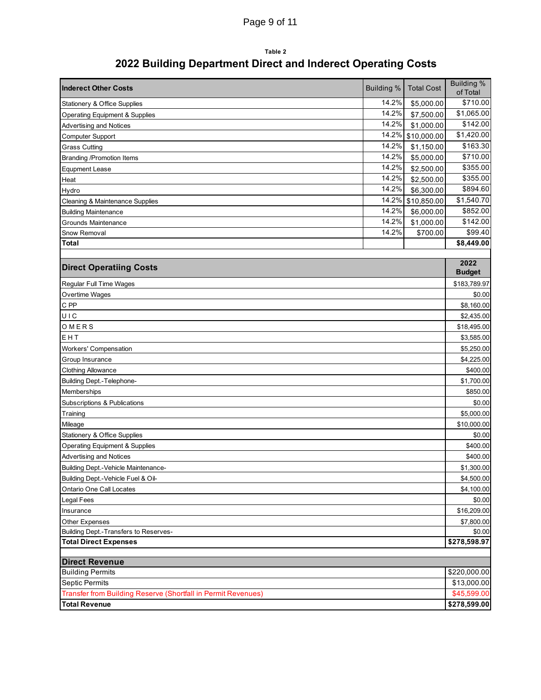# Page 9 of 11

### **Table 2 2022 Building Department Direct and Inderect Operating Costs**

<span id="page-8-0"></span>

| <b>Inderect Other Costs</b>                                   | <b>Building %</b> | <b>Total Cost</b> | <b>Building %</b><br>of Total |  |  |  |  |  |
|---------------------------------------------------------------|-------------------|-------------------|-------------------------------|--|--|--|--|--|
| Stationery & Office Supplies                                  | 14.2%             | \$5,000.00        | \$710.00                      |  |  |  |  |  |
| <b>Operating Equipment &amp; Supplies</b>                     | 14.2%             | \$7,500.00        | \$1,065.00                    |  |  |  |  |  |
| <b>Advertising and Notices</b>                                | 14.2%             | \$1,000.00        | \$142.00                      |  |  |  |  |  |
| Computer Support                                              | 14.2%             | \$10,000.00       | \$1,420.00                    |  |  |  |  |  |
| <b>Grass Cutting</b>                                          | 14.2%             | \$1,150.00        | \$163.30                      |  |  |  |  |  |
| <b>Branding /Promotion Items</b>                              | 14.2%             | \$5,000.00        | \$710.00                      |  |  |  |  |  |
| <b>Equpment Lease</b>                                         | 14.2%             | \$2,500.00        | \$355.00                      |  |  |  |  |  |
| Heat                                                          | 14.2%             | \$2,500.00        | \$355.00                      |  |  |  |  |  |
| Hydro                                                         | 14.2%             | \$6,300.00        | \$894.60                      |  |  |  |  |  |
| Cleaning & Maintenance Supplies                               | 14.2%             | \$10,850.00       | \$1,540.70                    |  |  |  |  |  |
| <b>Building Maintenance</b>                                   | 14.2%             | \$6,000.00        | \$852.00                      |  |  |  |  |  |
| Grounds Maintenance                                           | 14.2%             | \$1,000.00        | \$142.00                      |  |  |  |  |  |
| Snow Removal                                                  | 14.2%             | \$700.00          | \$99.40                       |  |  |  |  |  |
| Total                                                         |                   |                   | \$8,449.00                    |  |  |  |  |  |
|                                                               |                   |                   |                               |  |  |  |  |  |
| <b>Direct Operatiing Costs</b>                                |                   |                   | 2022<br><b>Budget</b>         |  |  |  |  |  |
| Regular Full Time Wages                                       |                   |                   | \$183,789.97                  |  |  |  |  |  |
| Overtime Wages                                                |                   |                   | \$0.00                        |  |  |  |  |  |
| C PP                                                          |                   |                   | \$8,160.00                    |  |  |  |  |  |
| UIC                                                           |                   |                   | \$2,435.00                    |  |  |  |  |  |
| OMERS                                                         |                   |                   | \$18,495.00                   |  |  |  |  |  |
| EHT                                                           |                   |                   | \$3,585.00                    |  |  |  |  |  |
| <b>Workers' Compensation</b>                                  |                   |                   |                               |  |  |  |  |  |
| Group Insurance                                               |                   |                   |                               |  |  |  |  |  |
| <b>Clothing Allowance</b>                                     |                   |                   |                               |  |  |  |  |  |
| Building Dept.-Telephone-                                     |                   |                   | \$1,700.00                    |  |  |  |  |  |
| Memberships                                                   |                   |                   | \$850.00                      |  |  |  |  |  |
| Subscriptions & Publications                                  |                   |                   | \$0.00                        |  |  |  |  |  |
| Training                                                      |                   |                   | \$5,000.00                    |  |  |  |  |  |
| Mileage                                                       |                   |                   | \$10,000.00                   |  |  |  |  |  |
| Stationery & Office Supplies                                  |                   |                   | \$0.00                        |  |  |  |  |  |
| <b>Operating Equipment &amp; Supplies</b>                     |                   |                   | \$400.00                      |  |  |  |  |  |
| <b>Advertising and Notices</b>                                |                   |                   | \$400.00                      |  |  |  |  |  |
| Building Dept.-Vehicle Maintenance-                           |                   |                   | \$1,300.00                    |  |  |  |  |  |
| Building Dept.-Vehicle Fuel & Oil-                            |                   |                   | \$4,500.00                    |  |  |  |  |  |
| Ontario One Call Locates                                      |                   |                   | \$4,100.00                    |  |  |  |  |  |
| Legal Fees                                                    |                   |                   | \$0.00                        |  |  |  |  |  |
| Insurance                                                     |                   |                   | \$16,209.00                   |  |  |  |  |  |
| Other Expenses                                                |                   |                   | \$7,800.00                    |  |  |  |  |  |
| Building Dept.-Transfers to Reserves-                         |                   |                   |                               |  |  |  |  |  |
| <b>Total Direct Expenses</b>                                  |                   |                   | \$278,598.97                  |  |  |  |  |  |
| <b>Direct Revenue</b>                                         |                   |                   |                               |  |  |  |  |  |
| <b>Building Permits</b>                                       |                   |                   | \$220,000.00                  |  |  |  |  |  |
| <b>Septic Permits</b>                                         |                   |                   |                               |  |  |  |  |  |
| Transfer from Building Reserve (Shortfall in Permit Revenues) |                   |                   |                               |  |  |  |  |  |
| <b>Total Revenue</b>                                          |                   |                   | \$278,599.00                  |  |  |  |  |  |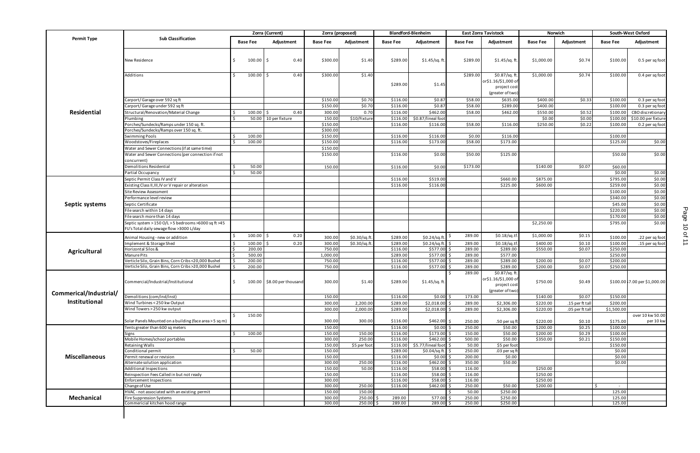<span id="page-9-0"></span>

|                        |                                                                        |                     | Zorra (Current)      |                            | Zorra (proposed)     |                                          |                      | <b>Blandford-Blenheim</b>        |                  | <b>East Zorra Tavistock</b>                                             |                        | Norwich          |                      | South-West Oxford                  |
|------------------------|------------------------------------------------------------------------|---------------------|----------------------|----------------------------|----------------------|------------------------------------------|----------------------|----------------------------------|------------------|-------------------------------------------------------------------------|------------------------|------------------|----------------------|------------------------------------|
| <b>Permit Type</b>     | <b>Sub Classification</b>                                              | <b>Base Fee</b>     |                      | Adjustment                 | <b>Base Fee</b>      | Adjustment                               | <b>Base Fee</b>      | Adjustment                       | <b>Base Fee</b>  | Adjustment                                                              | <b>Base Fee</b>        | Adjustment       | <b>Base Fee</b>      | Adjustment                         |
|                        | New Residence                                                          | $100.00$ \$         |                      | 0.40                       | \$300.00             | \$1.40                                   | \$289.00             | $$1.45$ /sq.ft                   | \$289.00         | $$1.45$ /sq.ft.                                                         | \$1,000.00             | \$0.74           | \$100.00             | 0.5 per sq foot                    |
|                        | Additions                                                              | $100.00$ \$         |                      | 0.40                       | \$300.00             | \$1.40                                   | \$289.00             | \$1.45                           | \$289.00         | \$0.87/sq.ft<br>or\$1.16/\$1,000 of<br>project cost<br>(greater of two) | \$1,000.00             | \$0.74           | \$100.00             | 0.4 per sq foot                    |
|                        | Carport/Garage over 592 sq ft                                          |                     |                      |                            | \$150.00             | \$0.70                                   | \$116.00             | \$0.87                           | \$58.00          | \$635.00                                                                | \$400.00               | \$0.33           | \$100.00             | $\overline{0.3}$ per sq foot       |
|                        | Carport/Garage under 592 sq ft                                         |                     |                      |                            | \$150.00             | \$0.70                                   | \$116.00             | \$0.87                           | \$58.00          | \$289.00                                                                | \$400.00               |                  | \$100.00             | $0.3$ per sq foot                  |
| Residential            | Structural/Renovation/Material Change                                  | 100.00              | l \$                 | 0.40                       | 300.00               | 0.70                                     | \$116.00             | \$462.00                         | \$58.00          | \$462.00                                                                | \$550.00               | \$0.52           | \$100.00             | CBO discretionary                  |
|                        | Plumbing                                                               |                     | 50.00 10 per fixture |                            | 150.00               | \$10/Fixture                             | \$116.00             | \$0.87/lineal foo                |                  |                                                                         | \$0.00                 | \$0.00           | \$100.00             | \$10.00 per fixture                |
|                        | Porches/Sundecks/Ramps under 150 sq. ft.                               |                     |                      |                            | \$150.00             |                                          | \$116.00             | \$116.00                         | \$58.00          | \$116.00                                                                | \$250.00               | \$0.22           | \$100.00             | 0.2 per sq foot                    |
|                        | Porches/Sundecks/Ramps over 150 sq. ft.                                |                     |                      |                            | \$300.00             |                                          |                      |                                  |                  |                                                                         |                        |                  |                      |                                    |
|                        | <b>Swimming Pools</b>                                                  | 100.00              |                      |                            | \$150.00             |                                          | \$116.00             | \$116.00                         | \$0.00           | \$116.00                                                                |                        |                  | \$100.00             |                                    |
|                        | Woodstoves/Fireplaces<br>Water and Sewer Connections (if at same time) | 100.00              |                      |                            | \$150.00<br>\$150.00 |                                          | \$116.00             | \$173.00                         | \$58.00          | \$173.00                                                                |                        |                  | \$125.00             | \$0.00                             |
|                        | Water and Sewer Connections (per connection if not<br>concurrent)      |                     |                      |                            | \$150.00             |                                          | \$116.00             | \$0.00                           | \$50.00          | \$125.00                                                                |                        |                  | \$50.00              | \$0.00                             |
|                        | Demolitions Residential                                                | 50.00               |                      |                            | 150.00               |                                          | \$116.00             | \$0.00                           | \$173.00         |                                                                         | \$140.00               | \$0.07           | \$60.00              |                                    |
|                        | Partial Occupancy                                                      | 50.00               |                      |                            |                      |                                          |                      |                                  |                  |                                                                         |                        |                  | \$0.00               | \$0.00                             |
|                        | Septic Permit Class IV and V                                           |                     |                      |                            |                      |                                          | \$116.00             | \$519.00                         |                  | \$660.00                                                                | \$875.00               |                  | \$795.00             | \$0.00                             |
|                        | Existing Class II, III, IV or V repair or alteration                   |                     |                      |                            |                      |                                          | \$116.00             | \$116.00                         |                  | \$225.00                                                                | \$600.00               |                  | \$259.00             | \$0.00                             |
|                        | Site Review Assessment                                                 |                     |                      |                            |                      |                                          |                      |                                  |                  |                                                                         |                        |                  | \$100.00             | \$0.00                             |
|                        | Performance level review                                               |                     |                      |                            |                      |                                          |                      |                                  |                  |                                                                         |                        |                  | \$340.00             | \$0.00                             |
| Septic systems         | Septic Certificate                                                     |                     |                      |                            |                      |                                          |                      |                                  |                  |                                                                         |                        |                  | \$45.00              | \$0.00                             |
|                        | File search within 14 days                                             |                     |                      |                            |                      |                                          |                      |                                  |                  |                                                                         |                        |                  | \$220.00             | \$0.00                             |
|                        | File search more than 14 days                                          |                     |                      |                            |                      |                                          |                      |                                  |                  |                                                                         |                        |                  | \$170.00             | \$0.00                             |
|                        | Septic system > 150 O/L > 5 bedrooms > 6000 sq ft > 45                 |                     |                      |                            |                      |                                          |                      |                                  |                  |                                                                         | \$2,250.00             |                  | \$795.00             | \$0.00                             |
|                        | FU's Total daily sewage flow >3000 L/day                               |                     |                      |                            |                      |                                          |                      |                                  |                  |                                                                         |                        |                  |                      |                                    |
|                        | Animal Housing - new or addition<br>Implement & Storage Shed           | 100.00 \$<br>100.00 |                      | 0.20<br>0.20               | 300.00<br>300.00     | \$0.30/sq.ft<br>$\frac{1}{20.30}$ /sq.ft | \$289.00<br>\$289.00 | \$0.24/sq.ft<br>\$0.24/sq.ft. \$ | 289.00<br>289.00 | \$0.18/sq.tf.<br>\$0.18/sq.tf.                                          | \$1,000.00<br>\$400.00 | \$0.15<br>\$0.10 | \$100.00<br>\$100.00 | .22 per sq foot<br>.15 per sq foot |
|                        | Horizontal Silos &                                                     | 200.00              |                      |                            | 750.00               |                                          | \$116.00             | \$577.00                         | 289.00           | \$289.00                                                                | \$550.00               | \$0.07           | \$250.00             |                                    |
| <b>Agricultural</b>    | Manure Pits                                                            | 500.00              |                      |                            | 1,000.00             |                                          | \$289.00             | $$577.00$ \$                     | 289.00           | \$577.00                                                                |                        |                  | \$250.00             |                                    |
|                        | Verticle Silo, Grain Bins, Corn Cribs <20,000 Bushel                   | 200.00              |                      |                            | 750.00               |                                          | \$116.00             | \$577.00                         | 289.00           | \$289.00                                                                | \$200.00               | \$0.07           | \$200.00             |                                    |
|                        | Verticle Silo, Grain Bins, Corn Cribs > 20,000 Bushel                  | 200.00              |                      |                            | 750.00               |                                          | \$116.00             | \$577.00                         | 289.00           | \$289.00                                                                | \$200.00               | \$0.07           | \$250.00             |                                    |
|                        | Commercial/Industrial/Institutional                                    |                     |                      | 100.00 \$8.00 per thousand | 300.00               | \$1.40                                   | \$289.00             | \$1.45/sq.ft.                    | 289.00           | \$0.87/sq.ft<br>or\$1.16/\$1,000 of<br>project cost<br>(greater of two) | \$750.00               | \$0.49           |                      | \$100.00 \$7.00 per \$1,000.00     |
| Commerical/Industrial/ | Demolitions (com/ind/inst)                                             |                     |                      |                            | 150.00               |                                          | \$116.00             | $$0.00$ \$                       | 173.00           |                                                                         | \$140.00               | \$0.07           | \$150.00             |                                    |
| Institutional          | Wind Turbines < 250 kw Output                                          |                     |                      |                            | 300.00               | 2,200.00                                 | \$289.00             | $$2,018.00$ \$                   | 289.00           | \$2,306.00                                                              | \$220.00               | .15 per ft tal   | \$200.00             |                                    |
|                        | Wind Towers > 250 kw output                                            |                     |                      |                            | 300.00               | 2,000.00                                 | \$289.00             | $$2,018.00$ \$                   | 289.00           | \$2,306.00                                                              | \$220.00               | .05 per ft tal   | \$1,500.00           |                                    |
|                        |                                                                        | 150.00              |                      |                            |                      |                                          |                      |                                  |                  |                                                                         |                        |                  |                      | over 10 kw 50.00                   |
|                        | Solar Panels Mounted on a building (face area > 5 sq m)                |                     |                      |                            | 300.00               | 300.00                                   | \$116.00             | $$462.00$ \$                     | 250.00           | .50 per sq ft                                                           | \$220.00               | \$0.10           | \$175.00             | per 10 kw                          |
|                        | Tents greater than 600 sq meters                                       |                     |                      |                            | 150.00               |                                          | \$116.00             | \$0.00                           | 250.00           | \$50.00                                                                 | \$200.00               | \$0.25           | \$100.00             |                                    |
|                        | Signs                                                                  | 100.00              |                      |                            | 150.00               | 150.00                                   | \$116.00             | $$173.00$ \$                     | 150.00           | \$50.00                                                                 | \$200.00               | \$0.29           | \$100.00             |                                    |
|                        | Mobile Homes/school portables                                          |                     |                      |                            | 300.00               | 250.00                                   | \$116.00             | $$462.00$ \$                     | 500.00           | \$50.00                                                                 | \$350.00               | \$0.21           | \$150.00             |                                    |
|                        | Retaining Walls                                                        |                     |                      |                            | 150.00               | \$5 per foot                             |                      | \$116.00 \$5.77/lineal foot \$   | 50.00            | \$5 per foot                                                            |                        |                  | \$150.00             |                                    |
|                        | Conditional permit                                                     | 50.00               |                      |                            | 150.00               |                                          | \$289.00             | \$0.04/sq.ft. \$                 | 250.00           | .03 per sq ft                                                           |                        |                  | \$0.00               |                                    |
| <b>Miscellaneous</b>   | Permit renewal or revision                                             |                     |                      |                            | 150.00               |                                          | \$116.00             | $$0.00$ \$                       | 200.00           | \$0.00                                                                  |                        |                  | \$0.00               |                                    |
|                        | Alternate solution application<br><b>Additional Inspections</b>        |                     |                      |                            | 300.00<br>150.00     | 250.00<br>50.00                          | \$116.00<br>\$116.00 | \$462.00<br>$$58.00$ \$          | 350.00<br>116.00 | \$50.00                                                                 | \$250.00               |                  | \$0.00               |                                    |
|                        | Reinspection Fees Called in but not ready                              |                     |                      |                            | 150.00               |                                          | \$116.00             | \$58.00                          | 116.00           |                                                                         | \$250.00               |                  |                      |                                    |
|                        | Enforcement Inspections                                                |                     |                      |                            | 300.00               |                                          | \$116.00             | $$58.00$ \$                      | 116.00           |                                                                         | \$250.00               |                  |                      |                                    |
|                        | Change of Use                                                          |                     |                      |                            | 300.00               | 250.00                                   | \$116.00             | \$462.00                         | 250.00           | \$50.00                                                                 | \$200.00               |                  | -Ś                   |                                    |
|                        | HVAC - not associated with an existing permit                          |                     |                      |                            | 150.00               | 150.00                                   |                      |                                  | 50.00            | \$250.00                                                                |                        |                  | 125.00               |                                    |
| <b>Mechanical</b>      | Fire Suppression Systems                                               |                     |                      |                            | 300.00               | 250.00                                   | 289.00               | 577.00 \$                        | 250.00           | \$250.00                                                                |                        |                  | 125.00               |                                    |
|                        | Commericial kitchen hood range                                         |                     |                      |                            | 300.00               | 250.00                                   | 289.00               | 289.00 \$                        | 250.00           | \$250.00                                                                |                        |                  | 125.00               |                                    |
|                        |                                                                        |                     |                      |                            |                      |                                          |                      |                                  |                  |                                                                         |                        |                  |                      |                                    |